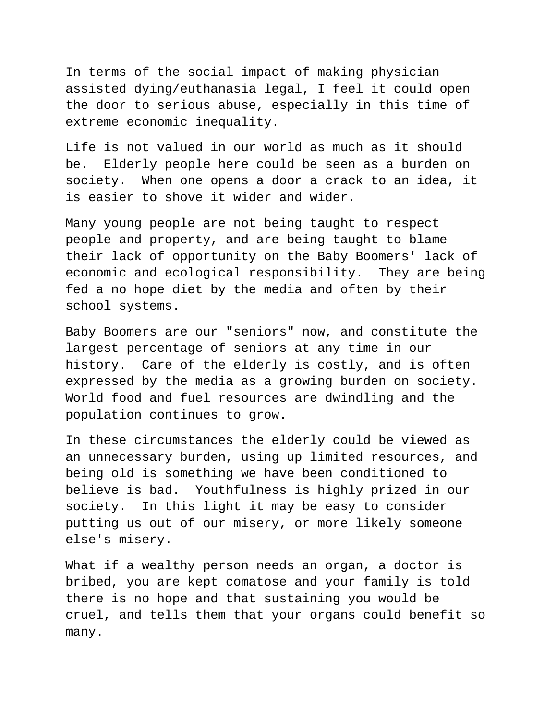In terms of the social impact of making physician assisted dying/euthanasia legal, I feel it could open the door to serious abuse, especially in this time of extreme economic inequality.

Life is not valued in our world as much as it should be. Elderly people here could be seen as a burden on society. When one opens a door a crack to an idea, it is easier to shove it wider and wider.

Many young people are not being taught to respect people and property, and are being taught to blame their lack of opportunity on the Baby Boomers' lack of economic and ecological responsibility. They are being fed a no hope diet by the media and often by their school systems.

Baby Boomers are our "seniors" now, and constitute the largest percentage of seniors at any time in our history. Care of the elderly is costly, and is often expressed by the media as a growing burden on society. World food and fuel resources are dwindling and the population continues to grow.

In these circumstances the elderly could be viewed as an unnecessary burden, using up limited resources, and being old is something we have been conditioned to believe is bad. Youthfulness is highly prized in our society. In this light it may be easy to consider putting us out of our misery, or more likely someone else's misery.

What if a wealthy person needs an organ, a doctor is bribed, you are kept comatose and your family is told there is no hope and that sustaining you would be cruel, and tells them that your organs could benefit so many.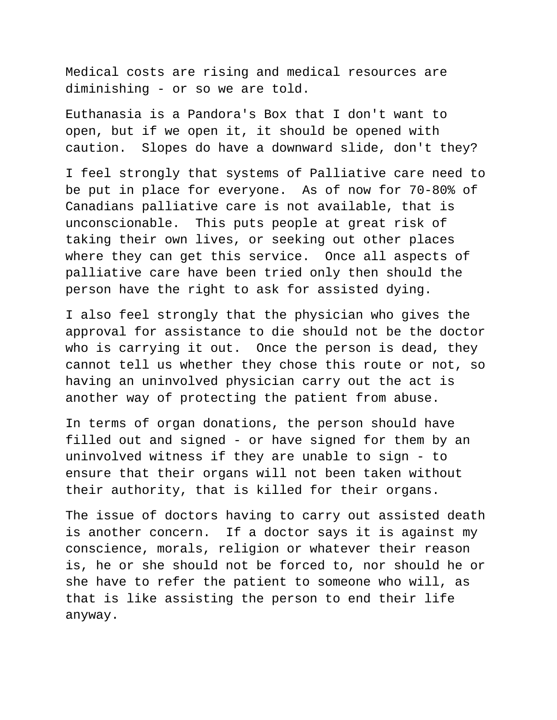Medical costs are rising and medical resources are diminishing - or so we are told.

Euthanasia is a Pandora's Box that I don't want to open, but if we open it, it should be opened with caution. Slopes do have a downward slide, don't they?

I feel strongly that systems of Palliative care need to be put in place for everyone. As of now for 70-80% of Canadians palliative care is not available, that is unconscionable. This puts people at great risk of taking their own lives, or seeking out other places where they can get this service. Once all aspects of palliative care have been tried only then should the person have the right to ask for assisted dying.

I also feel strongly that the physician who gives the approval for assistance to die should not be the doctor who is carrying it out. Once the person is dead, they cannot tell us whether they chose this route or not, so having an uninvolved physician carry out the act is another way of protecting the patient from abuse.

In terms of organ donations, the person should have filled out and signed - or have signed for them by an uninvolved witness if they are unable to sign - to ensure that their organs will not been taken without their authority, that is killed for their organs.

The issue of doctors having to carry out assisted death is another concern. If a doctor says it is against my conscience, morals, religion or whatever their reason is, he or she should not be forced to, nor should he or she have to refer the patient to someone who will, as that is like assisting the person to end their life anyway.